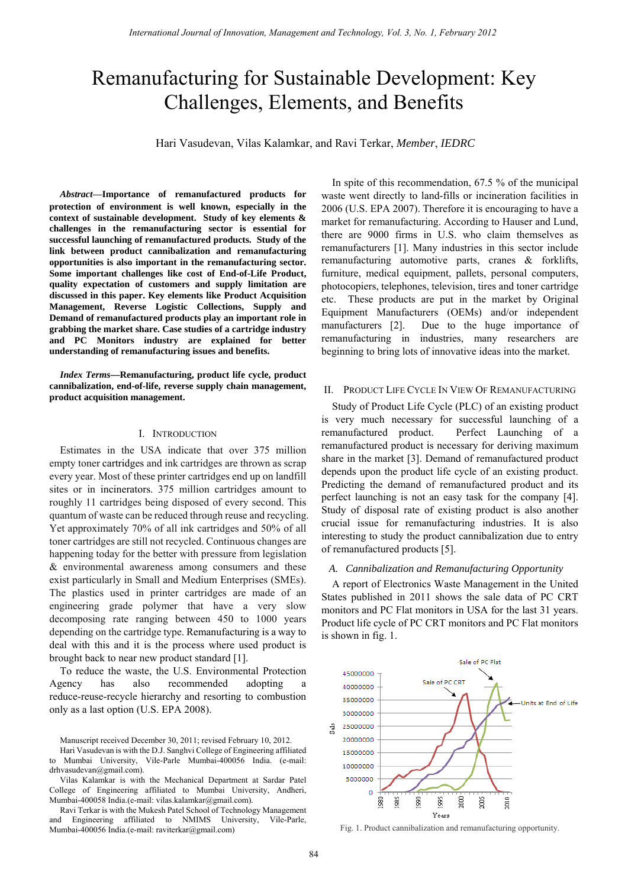# Remanufacturing for Sustainable Development: Key Challenges, Elements, and Benefits

Hari Vasudevan, Vilas Kalamkar, and Ravi Terkar, *Member*, *IEDRC*

**protection of environment is well known, especially in the context of sustainable development. Study of key elements & challenges in the remanufacturing sector is essential for successful launching of remanufactured products. Study of the link between product cannibalization and remanufacturing opportunities is also important in the remanufacturing sector. Some important challenges like cost of End-of-Life Product, quality expectation of customers and supply limitation are discussed in this paper. Key elements like Product Acquisition Management, Reverse Logistic Collections, Supply and Demand of remanufactured products play an important role in grabbing the market share. Case studies of a cartridge industry and PC Monitors industry are explained for better understanding of remanufacturing issues and benefits.**  *Abstract***—Importance of remanufactured products for** 

*Index Terms***—Remanufacturing, product life cycle, product cannibalization, end-of-life, reverse supply chain management, product acquisition management.** 

#### I. INTRODUCTION

Estimates in the USA indicate that over 375 million empty toner cartridges and ink cartridges are thrown as scrap every year. Most of these printer cartridges end up on landfill sites or in incinerators. 375 million cartridges amount to roughly 11 cartridges being disposed of every second. This quantum of waste can be reduced through reuse and recycling. Yet approximately 70% of all ink cartridges and 50% of all toner cartridges are still not recycled. Continuous changes are happening today for the better with pressure from legislation & environmental awareness among consumers and these exist particularly in Small and Medium Enterprises (SMEs). The plastics used in printer cartridges are made of an engineering grade polymer that have a very slow decomposing rate ranging between 450 to 1000 years depending on the cartridge type. Remanufacturing is a way to deal with this and it is the process where used product is brought back to near new product standard [1].

To reduce the waste, the U.S. Environmental Protection Agency has also recommended adopting a reduce-reuse-recycle hierarchy and resorting to combustion only as a last option (U.S. EPA 2008).

In spite of this recommendation, 67.5 % of the municipal waste went directly to land-fills or incineration facilities in 2006 (U.S. EPA 2007). Therefore it is encouraging to have a market for remanufacturing. According to Hauser and Lund, there are 9000 firms in U.S. who claim themselves as remanufacturers [1]. Many industries in this sector include remanufacturing automotive parts, cranes & forklifts, furniture, medical equipment, pallets, personal computers, photocopiers, telephones, television, tires and toner cartridge etc. These products are put in the market by Original Equipment Manufacturers (OEMs) and/or independent manufacturers [2]. Due to the huge importance of remanufacturing in industries, many researchers are beginning to bring lots of innovative ideas into the market.

## II. PRODUCT LIFE CYCLE IN VIEW OF REMANUFACTURING

Study of Product Life Cycle (PLC) of an existing product is very much necessary for successful launching of a remanufactured product. Perfect Launching of a remanufactured product is necessary for deriving maximum share in the market [3]. Demand of remanufactured product depends upon the product life cycle of an existing product. Predicting the demand of remanufactured product and its perfect launching is not an easy task for the company [4]. Study of disposal rate of existing product is also another crucial issue for remanufacturing industries. It is also interesting to study the product cannibalization due to entry of remanufactured products [5].

## *A. Cannibalization and Remanufacturing Opportunity*

A report of Electronics Waste Management in the United States published in 2011 shows the sale data of PC CRT monitors and PC Flat monitors in USA for the last 31 years. Product life cycle of PC CRT monitors and PC Flat monitors is shown in fig. 1.



Fig. 1. Product cannibalization and remanufacturing opportunity.

Manuscript received December 30, 2011; revised February 10, 2012.

Hari Vasudevan is with the D.J. Sanghvi College of Engineering affiliated to Mumbai University, Vile-Parle Mumbai-400056 India. (e-mail: drhvasudevan@gmail.com).

Vilas Kalamkar is with the Mechanical Department at Sardar Patel College of Engineering affiliated to Mumbai University, Andheri, Mumbai-400058 India.(e-mail: vilas.kalamkar@gmail.com).

Ravi Terkar is with the Mukesh Patel School of Technology Management and Engineering affiliated to NMIMS University, Vile-Parle, Mumbai-400056 India.(e-mail: raviterkar@gmail.com)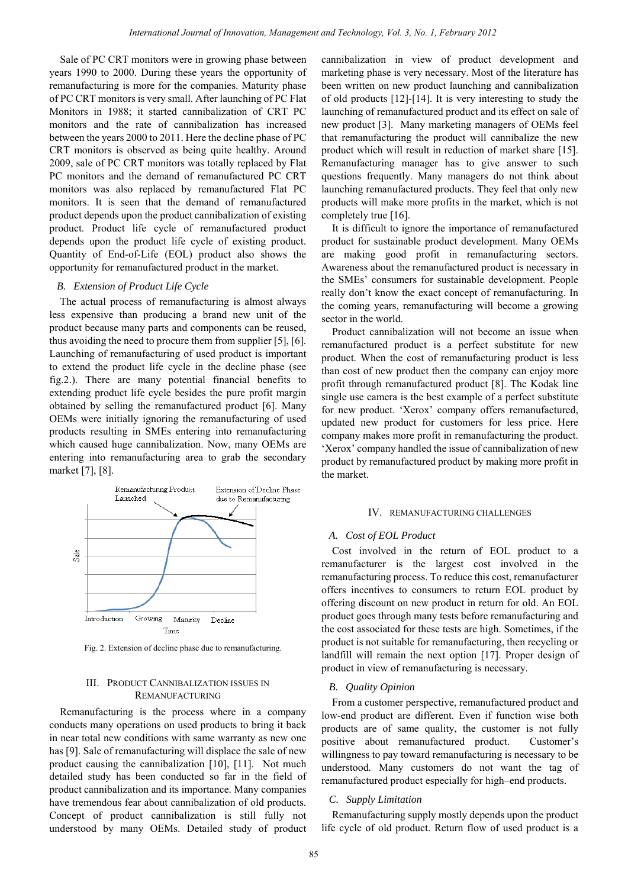Sale of PC CRT monitors were in growing phase between years 1990 to 2000. During these years the opportunity of remanufacturing is more for the companies. Maturity phase of PC CRT monitors is very small. After launching of PC Flat Monitors in 1988; it started cannibalization of CRT PC monitors and the rate of cannibalization has increased between the years 2000 to 2011. Here the decline phase of PC CRT monitors is observed as being quite healthy. Around 2009, sale of PC CRT monitors was totally replaced by Flat PC monitors and the demand of remanufactured PC CRT monitors was also replaced by remanufactured Flat PC monitors. It is seen that the demand of remanufactured product depends upon the product cannibalization of existing product. Product life cycle of remanufactured product depends upon the product life cycle of existing product. Quantity of End-of-Life (EOL) product also shows the opportunity for remanufactured product in the market.

## *B. Extension of Product Life Cycle*

The actual process of remanufacturing is almost always less expensive than producing a brand new unit of the product because many parts and components can be reused, thus avoiding the need to procure them from supplier [5], [6]. Launching of remanufacturing of used product is important to extend the product life cycle in the decline phase (see fig.2.). There are many potential financial benefits to extending product life cycle besides the pure profit margin obtained by selling the remanufactured product [6]. Many OEMs were initially ignoring the remanufacturing of used products resulting in SMEs entering into remanufacturing which caused huge cannibalization. Now, many OEMs are entering into remanufacturing area to grab the secondary market [7], [8].



Fig. 2. Extension of decline phase due to remanufacturing.

# III. PRODUCT CANNIBALIZATION ISSUES IN REMANUFACTURING

Remanufacturing is the process where in a company conducts many operations on used products to bring it back in near total new conditions with same warranty as new one has [9]. Sale of remanufacturing will displace the sale of new product causing the cannibalization [10], [11]. Not much detailed study has been conducted so far in the field of product cannibalization and its importance. Many companies have tremendous fear about cannibalization of old products. Concept of product cannibalization is still fully not understood by many OEMs. Detailed study of product

cannibalization in view of product development and marketing phase is very necessary. Most of the literature has been written on new product launching and cannibalization of old products [12]-[14]. It is very interesting to study the launching of remanufactured product and its effect on sale of new product [3]. Many marketing managers of OEMs feel that remanufacturing the product will cannibalize the new product which will result in reduction of market share [15]. Remanufacturing manager has to give answer to such questions frequently. Many managers do not think about launching remanufactured products. They feel that only new products will make more profits in the market, which is not completely true [16].

It is difficult to ignore the importance of remanufactured product for sustainable product development. Many OEMs are making good profit in remanufacturing sectors. Awareness about the remanufactured product is necessary in the SMEs' consumers for sustainable development. People really don't know the exact concept of remanufacturing. In the coming years, remanufacturing will become a growing sector in the world.

Product cannibalization will not become an issue when remanufactured product is a perfect substitute for new product. When the cost of remanufacturing product is less than cost of new product then the company can enjoy more profit through remanufactured product [8]. The Kodak line single use camera is the best example of a perfect substitute for new product. 'Xerox' company offers remanufactured, updated new product for customers for less price. Here company makes more profit in remanufacturing the product. 'Xerox' company handled the issue of cannibalization of new product by remanufactured product by making more profit in the market.

## IV. REMANUFACTURING CHALLENGES

# *A. Cost of EOL Product*

Cost involved in the return of EOL product to a remanufacturer is the largest cost involved in the remanufacturing process. To reduce this cost, remanufacturer offers incentives to consumers to return EOL product by offering discount on new product in return for old. An EOL product goes through many tests before remanufacturing and the cost associated for these tests are high. Sometimes, if the product is not suitable for remanufacturing, then recycling or landfill will remain the next option [17]. Proper design of product in view of remanufacturing is necessary.

## *B. Quality Opinion*

From a customer perspective, remanufactured product and low-end product are different. Even if function wise both products are of same quality, the customer is not fully positive about remanufactured product. Customer's willingness to pay toward remanufacturing is necessary to be understood. Many customers do not want the tag of remanufactured product especially for high–end products.

## *C. Supply Limitation*

Remanufacturing supply mostly depends upon the product life cycle of old product. Return flow of used product is a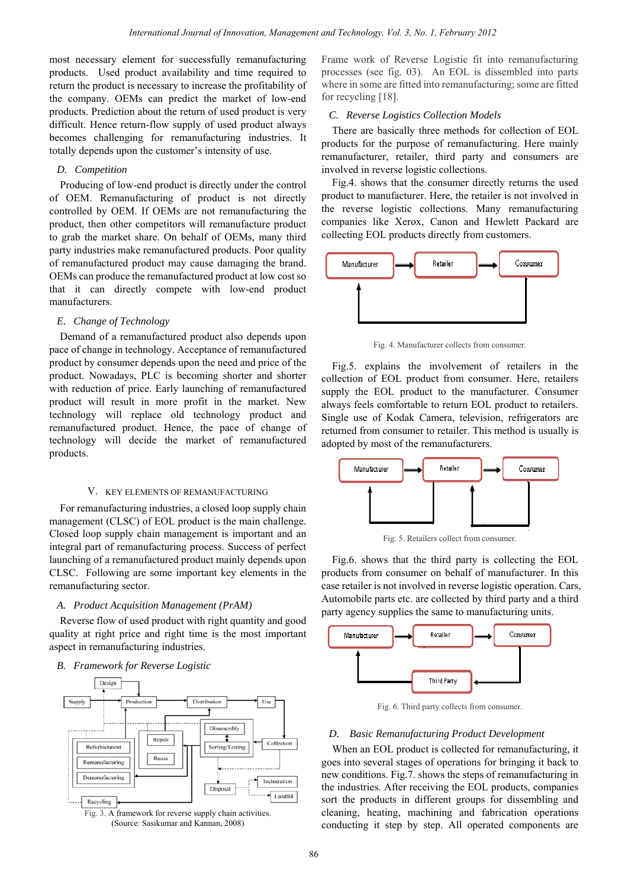most necessary element for successfully remanufacturing products. Used product availability and time required to return the product is necessary to increase the profitability of the company. OEMs can predict the market of low-end products. Prediction about the return of used product is very difficult. Hence return-flow supply of used product always becomes challenging for remanufacturing industries. It totally depends upon the customer's intensity of use.

## *D. Competition*

Producing of low-end product is directly under the control of OEM. Remanufacturing of product is not directly controlled by OEM. If OEMs are not remanufacturing the product, then other competitors will remanufacture product to grab the market share. On behalf of OEMs, many third party industries make remanufactured products. Poor quality of remanufactured product may cause damaging the brand. OEMs can produce the remanufactured product at low cost so that it can directly compete with low-end product manufacturers.

## *E. Change of Technology*

Demand of a remanufactured product also depends upon pace of change in technology. Acceptance of remanufactured product by consumer depends upon the need and price of the product. Nowadays, PLC is becoming shorter and shorter with reduction of price. Early launching of remanufactured product will result in more profit in the market. New technology will replace old technology product and remanufactured product. Hence, the pace of change of technology will decide the market of remanufactured products.

#### V. KEY ELEMENTS OF REMANUFACTURING

For remanufacturing industries, a closed loop supply chain management (CLSC) of EOL product is the main challenge. Closed loop supply chain management is important and an integral part of remanufacturing process. Success of perfect launching of a remanufactured product mainly depends upon CLSC. Following are some important key elements in the remanufacturing sector.

## *A. Product Acquisition Management (PrAM)*

Reverse flow of used product with right quantity and good quality at right price and right time is the most important aspect in remanufacturing industries.

## *B. Framework for Reverse Logistic*



(Source: Sasikumar and Kannan, 2008)

Frame work of Reverse Logistic fit into remanufacturing processes (see fig. 03). An EOL is dissembled into parts where in some are fitted into remanufacturing; some are fitted for recycling [18].

## *C. Reverse Logistics Collection Models*

There are basically three methods for collection of EOL products for the purpose of remanufacturing. Here mainly remanufacturer, retailer, third party and consumers are involved in reverse logistic collections.

Fig.4. shows that the consumer directly returns the used product to manufacturer. Here, the retailer is not involved in the reverse logistic collections. Many remanufacturing companies like Xerox, Canon and Hewlett Packard are collecting EOL products directly from customers.



Fig. 4. Manufacturer collects from consumer.

Fig.5. explains the involvement of retailers in the collection of EOL product from consumer. Here, retailers supply the EOL product to the manufacturer. Consumer always feels comfortable to return EOL product to retailers. Single use of Kodak Camera, television, refrigerators are returned from consumer to retailer. This method is usually is adopted by most of the remanufacturers.



Fig. 5. Retailers collect from consumer.

Fig.6. shows that the third party is collecting the EOL products from consumer on behalf of manufacturer. In this case retailer is not involved in reverse logistic operation. Cars, Automobile parts etc. are collected by third party and a third party agency supplies the same to manufacturing units.



Fig. 6. Third party collects from consumer.

#### *D. Basic Remanufacturing Product Development*

When an EOL product is collected for remanufacturing, it goes into several stages of operations for bringing it back to new conditions. Fig.7. shows the steps of remanufacturing in the industries. After receiving the EOL products, companies sort the products in different groups for dissembling and cleaning, heating, machining and fabrication operations conducting it step by step. All operated components are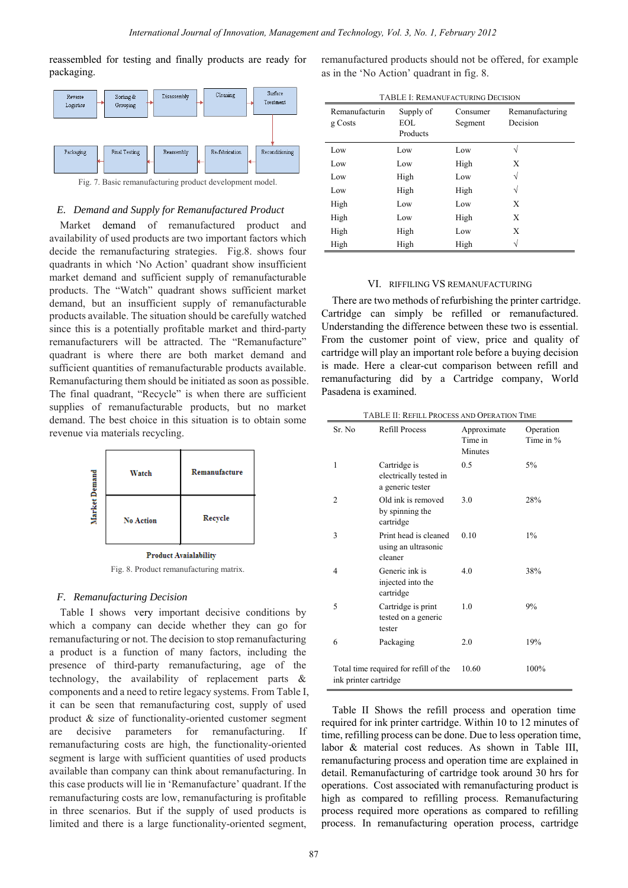reassembled for testing and finally products are ready for packaging.



Fig. 7. Basic remanufacturing product development model.

# *E. Demand and Supply for Remanufactured Product*

Market demand of remanufactured product and availability of used products are two important factors which decide the remanufacturing strategies. Fig.8. shows four quadrants in which 'No Action' quadrant show insufficient market demand and sufficient supply of remanufacturable products. The "Watch" quadrant shows sufficient market demand, but an insufficient supply of remanufacturable products available. The situation should be carefully watched since this is a potentially profitable market and third-party remanufacturers will be attracted. The "Remanufacture" quadrant is where there are both market demand and sufficient quantities of remanufacturable products available. Remanufacturing them should be initiated as soon as possible. The final quadrant, "Recycle" is when there are sufficient supplies of remanufacturable products, but no market demand. The best choice in this situation is to obtain some revenue via materials recycling.



**Product Avaialability** Fig. 8. Product remanufacturing matrix.

## *F. Remanufacturing Decision*

Table I shows very important decisive conditions by which a company can decide whether they can go for remanufacturing or not. The decision to stop remanufacturing a product is a function of many factors, including the presence of third-party remanufacturing, age of the technology, the availability of replacement parts & components and a need to retire legacy systems. From Table I, it can be seen that remanufacturing cost, supply of used product & size of functionality-oriented customer segment are decisive parameters for remanufacturing. If remanufacturing costs are high, the functionality-oriented segment is large with sufficient quantities of used products available than company can think about remanufacturing. In this case products will lie in 'Remanufacture' quadrant. If the remanufacturing costs are low, remanufacturing is profitable in three scenarios. But if the supply of used products is limited and there is a large functionality-oriented segment,

remanufactured products should not be offered, for example as in the 'No Action' quadrant in fig. 8.

| <b>TABLE I: REMANUFACTURING DECISION</b> |                              |                     |                             |  |  |  |
|------------------------------------------|------------------------------|---------------------|-----------------------------|--|--|--|
| Remanufacturin<br>g Costs                | Supply of<br>EOL<br>Products | Consumer<br>Segment | Remanufacturing<br>Decision |  |  |  |
| Low                                      | Low                          | Low                 | N                           |  |  |  |
| Low                                      | Low                          | High                | Х                           |  |  |  |
| Low                                      | High                         | Low                 | N                           |  |  |  |
| Low                                      | High                         | High                | V                           |  |  |  |
| High                                     | Low                          | Low                 | X                           |  |  |  |
| High                                     | Low                          | High                | X                           |  |  |  |
| High                                     | High                         | Low                 | Х                           |  |  |  |
| High                                     | High                         | High                |                             |  |  |  |

## VI. RIFFILING VS REMANUFACTURING

There are two methods of refurbishing the printer cartridge. Cartridge can simply be refilled or remanufactured. Understanding the difference between these two is essential. From the customer point of view, price and quality of cartridge will play an important role before a buying decision is made. Here a clear-cut comparison between refill and remanufacturing did by a Cartridge company, World Pasadena is examined.

| Sr. No                | <b>Refill Process</b>                                      | Approximate<br>Time in<br>Minutes | Operation<br>Time in $%$ |
|-----------------------|------------------------------------------------------------|-----------------------------------|--------------------------|
| 1                     | Cartridge is<br>electrically tested in<br>a generic tester | 0.5                               | 5%                       |
| $\overline{c}$        | Old ink is removed<br>by spinning the<br>cartridge         | 3.0                               | 28%                      |
| 3                     | Print head is cleaned<br>using an ultrasonic<br>cleaner    | 0.10                              | $1\%$                    |
| 4                     | Generic ink is<br>injected into the<br>cartridge           | 4.0                               | 38%                      |
| 5                     | Cartridge is print<br>tested on a generic<br>tester        | 1.0                               | 9%                       |
| 6                     | Packaging                                                  | 2.0                               | 19%                      |
| ink printer cartridge | Total time required for refill of the                      | 10.60                             | 100%                     |

Table II Shows the refill process and operation time required for ink printer cartridge. Within 10 to 12 minutes of time, refilling process can be done. Due to less operation time, labor & material cost reduces. As shown in Table III, remanufacturing process and operation time are explained in detail. Remanufacturing of cartridge took around 30 hrs for operations. Cost associated with remanufacturing product is high as compared to refilling process. Remanufacturing process required more operations as compared to refilling process. In remanufacturing operation process, cartridge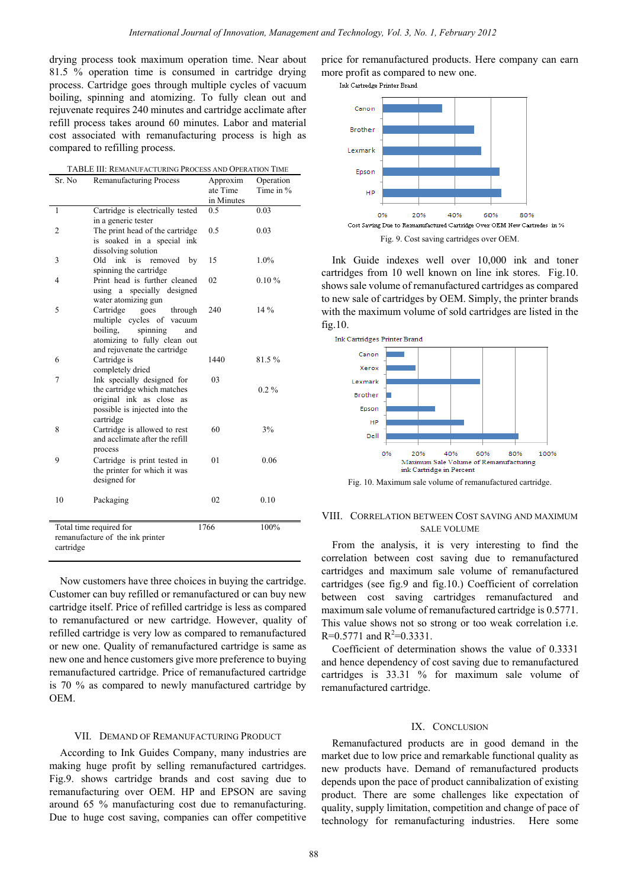drying process took maximum operation time. Near about 81.5 % operation time is consumed in cartridge drying process. Cartridge goes through multiple cycles of vacuum boiling, spinning and atomizing. To fully clean out and rejuvenate requires 240 minutes and cartridge acclimate after refill process takes around 60 minutes. Labor and material cost associated with remanufacturing process is high as compared to refilling process.

| TABLE III: REMANUFACTURING PROCESS AND OPERATION TIME |
|-------------------------------------------------------|
|-------------------------------------------------------|

| Sr. No         | <b>Remanufacturing Process</b>                                | Approxim<br>ate Time | Operation<br>Time in $%$ |
|----------------|---------------------------------------------------------------|----------------------|--------------------------|
|                |                                                               | in Minutes           |                          |
| 1              | Cartridge is electrically tested                              | $0.5^{\circ}$        | 0.03                     |
|                | in a generic tester                                           |                      |                          |
| $\overline{2}$ | The print head of the cartridge<br>is soaked in a special ink | 0.5                  | 0.03                     |
|                | dissolving solution                                           |                      |                          |
| 3              | Old<br>ink<br>is<br>removed<br>by                             | 15                   | $1.0\%$                  |
|                | spinning the cartridge                                        |                      |                          |
| 4              | Print head is further cleaned                                 | 02                   | 0.10%                    |
|                | specially designed<br>using<br>a<br>water atomizing gun       |                      |                          |
| 5              | Cartridge<br>goes<br>through                                  | 240                  | 14 %                     |
|                | multiple cycles of vacuum                                     |                      |                          |
|                | boiling,<br>spinning<br>and                                   |                      |                          |
|                | atomizing to fully clean out                                  |                      |                          |
| 6              | and rejuvenate the cartridge<br>Cartridge is                  | 1440                 | 81.5%                    |
|                | completely dried                                              |                      |                          |
| 7              | Ink specially designed for                                    | 03                   |                          |
|                | the cartridge which matches                                   |                      | $0.2\%$                  |
|                | original ink as close as<br>possible is injected into the     |                      |                          |
|                | cartridge                                                     |                      |                          |
| 8              | Cartridge is allowed to rest                                  | 60                   | 3%                       |
|                | and acclimate after the refill                                |                      |                          |
|                | process                                                       |                      |                          |
| 9              | Cartridge is print tested in<br>the printer for which it was  | 0 <sub>1</sub>       | 0.06                     |
|                | designed for                                                  |                      |                          |
|                |                                                               |                      |                          |
| 10             | Packaging                                                     | 02                   | 0.10                     |
|                |                                                               |                      |                          |
|                | Total time required for                                       | 1766                 | 100%                     |
|                | remanufacture of the ink printer                              |                      |                          |
| cartridge      |                                                               |                      |                          |

Now customers have three choices in buying the cartridge. Customer can buy refilled or remanufactured or can buy new cartridge itself. Price of refilled cartridge is less as compared to remanufactured or new cartridge. However, quality of refilled cartridge is very low as compared to remanufactured or new one. Quality of remanufactured cartridge is same as new one and hence customers give more preference to buying remanufactured cartridge. Price of remanufactured cartridge is 70 % as compared to newly manufactured cartridge by OEM.

## VII. DEMAND OF REMANUFACTURING PRODUCT

According to Ink Guides Company, many industries are making huge profit by selling remanufactured cartridges. Fig.9. shows cartridge brands and cost saving due to remanufacturing over OEM. HP and EPSON are saving around 65 % manufacturing cost due to remanufacturing. Due to huge cost saving, companies can offer competitive

price for remanufactured products. Here company can earn more profit as compared to new one.

Ink Cartredge Printer Brand



Ink Guide indexes well over 10,000 ink and toner cartridges from 10 well known on line ink stores. Fig.10. shows sale volume of remanufactured cartridges as compared to new sale of cartridges by OEM. Simply, the printer brands with the maximum volume of sold cartridges are listed in the fig.10.



Fig. 10. Maximum sale volume of remanufactured cartridge.

# VIII. CORRELATION BETWEEN COST SAVING AND MAXIMUM SALE VOLUME

From the analysis, it is very interesting to find the correlation between cost saving due to remanufactured cartridges and maximum sale volume of remanufactured cartridges (see fig.9 and fig.10.) Coefficient of correlation between cost saving cartridges remanufactured and maximum sale volume of remanufactured cartridge is 0.5771. This value shows not so strong or too weak correlation i.e.  $R=0.5771$  and  $R^2=0.3331$ .

Coefficient of determination shows the value of 0.3331 and hence dependency of cost saving due to remanufactured cartridges is 33.31 % for maximum sale volume of remanufactured cartridge.

#### IX. CONCLUSION

Remanufactured products are in good demand in the market due to low price and remarkable functional quality as new products have. Demand of remanufactured products depends upon the pace of product cannibalization of existing product. There are some challenges like expectation of quality, supply limitation, competition and change of pace of technology for remanufacturing industries. Here some